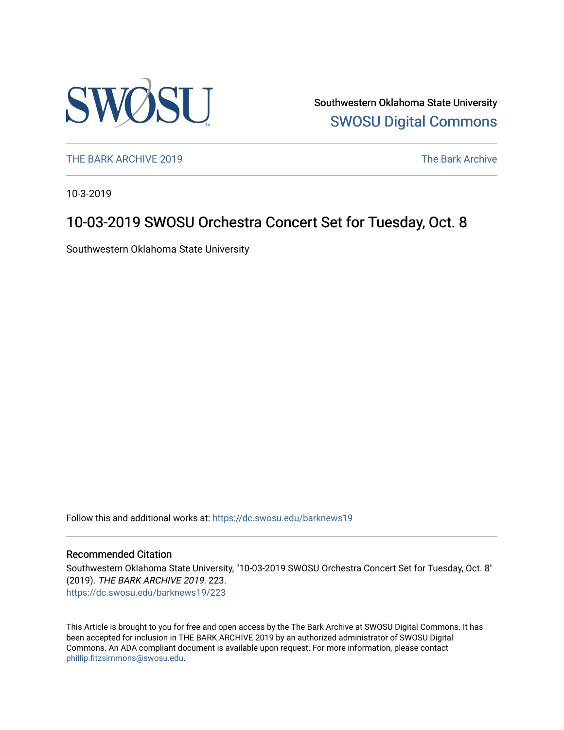

Southwestern Oklahoma State University [SWOSU Digital Commons](https://dc.swosu.edu/) 

[THE BARK ARCHIVE 2019](https://dc.swosu.edu/barknews19) The Bark Archive

10-3-2019

## 10-03-2019 SWOSU Orchestra Concert Set for Tuesday, Oct. 8

Southwestern Oklahoma State University

Follow this and additional works at: [https://dc.swosu.edu/barknews19](https://dc.swosu.edu/barknews19?utm_source=dc.swosu.edu%2Fbarknews19%2F223&utm_medium=PDF&utm_campaign=PDFCoverPages)

#### Recommended Citation

Southwestern Oklahoma State University, "10-03-2019 SWOSU Orchestra Concert Set for Tuesday, Oct. 8" (2019). THE BARK ARCHIVE 2019. 223. [https://dc.swosu.edu/barknews19/223](https://dc.swosu.edu/barknews19/223?utm_source=dc.swosu.edu%2Fbarknews19%2F223&utm_medium=PDF&utm_campaign=PDFCoverPages)

This Article is brought to you for free and open access by the The Bark Archive at SWOSU Digital Commons. It has been accepted for inclusion in THE BARK ARCHIVE 2019 by an authorized administrator of SWOSU Digital Commons. An ADA compliant document is available upon request. For more information, please contact [phillip.fitzsimmons@swosu.edu](mailto:phillip.fitzsimmons@swosu.edu).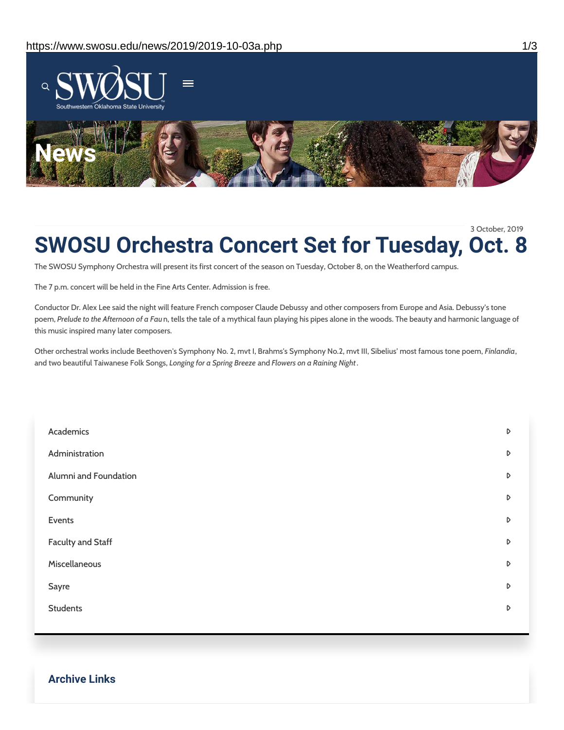

## **SWOSU Orchestra Concert Set for Tuesday, Oct. 8** 3 October, 2019

The SWOSU Symphony Orchestra will present its first concert of the season on Tuesday, October 8, on the Weatherford campus.

The 7 p.m. concert will be held in the Fine Arts Center. Admission is free.

Conductor Dr. Alex Lee said the night will feature French composer Claude Debussy and other composers from Europe and Asia. Debussy's tone poem, *Prelude to the Afternoon of a Fau*n, tells the tale of a mythical faun playing his pipes alone in the woods. The beauty and harmonic language of this music inspired many later composers.

Other orchestral works include Beethoven's Symphony No. 2, mvt I, Brahms's Symphony No.2, mvt III, Sibelius' most famous tone poem, *Finlandia*, and two beautiful Taiwanese Folk Songs, *Longing for a Spring Breeze* and *Flowers on a Raining Night*.

| Academics                | D                |
|--------------------------|------------------|
| Administration           | D                |
| Alumni and Foundation    | $\triangleright$ |
| Community                | $\triangleright$ |
| Events                   | D                |
| <b>Faculty and Staff</b> | D                |
| Miscellaneous            | $\triangleright$ |
| Sayre                    | $\triangleright$ |
| <b>Students</b>          | D                |
|                          |                  |

**Archive Links**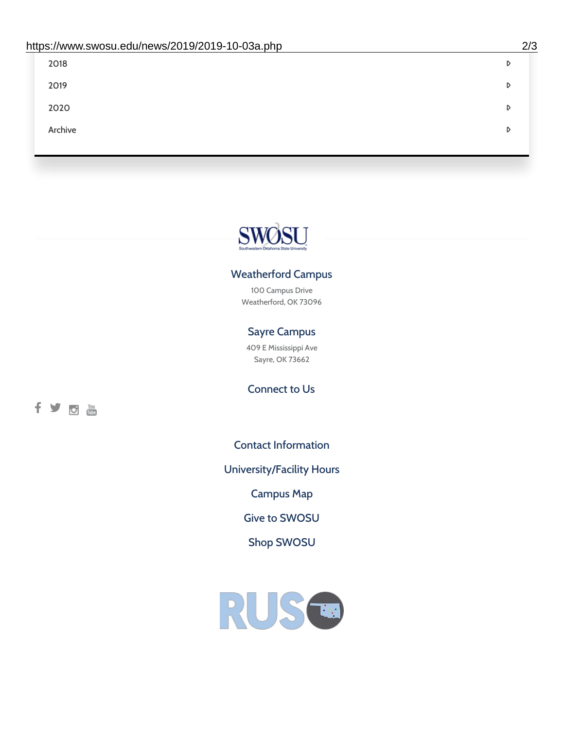| 2018    | D |
|---------|---|
| 2019    | D |
| 2020    | D |
| Archive | D |
|         |   |

# SWØSU

### Weatherford Campus

100 Campus Drive Weatherford, OK 73096

### Sayre Campus

409 E Mississippi Ave Sayre, OK 73662

fyom

Connect to Us

Contact [Information](https://www.swosu.edu/about/contact.php)

[University/Facility](https://www.swosu.edu/about/operating-hours.php) Hours

[Campus](https://map.concept3d.com/?id=768#!ct/10964,10214,10213,10212,10205,10204,10203,10202,10136,10129,10128,0,31226,10130,10201,10641,0) Map

Give to [SWOSU](https://standingfirmly.com/donate)

Shop [SWOSU](https://shopswosu.merchorders.com/)